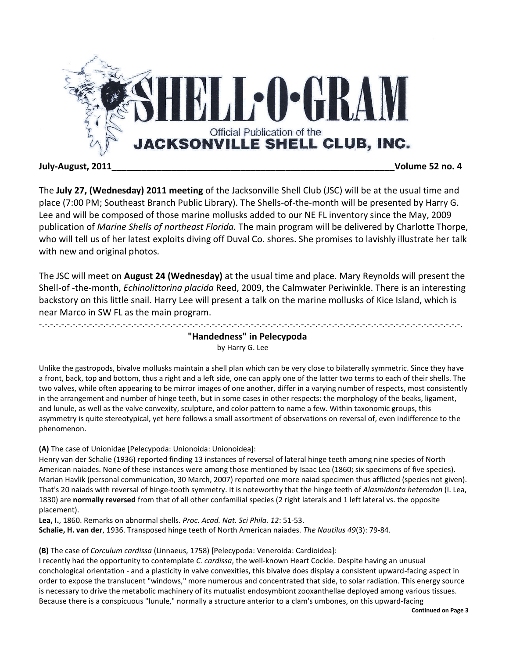

## **July-August, 2011\_\_\_\_\_\_\_\_\_\_\_\_\_\_\_\_\_\_\_\_\_\_\_\_\_\_\_\_\_\_\_\_\_\_\_\_\_\_\_\_\_\_\_\_\_\_\_\_\_\_\_\_\_\_\_\_\_Volume 52 no. 4**

The **July 27, (Wednesday) 2011 meeting** of the Jacksonville Shell Club (JSC) will be at the usual time and place (7:00 PM; Southeast Branch Public Library). The Shells-of-the-month will be presented by Harry G. Lee and will be composed of those marine mollusks added to our NE FL inventory since the May, 2009 publication of *Marine Shells of northeast Florida.* The main program will be delivered by Charlotte Thorpe, who will tell us of her latest exploits diving off Duval Co. shores. She promises to lavishly illustrate her talk with new and original photos*.*

The JSC will meet on **August 24 (Wednesday)** at the usual time and place. Mary Reynolds will present the Shell-of -the-month, *Echinolittorina placida* Reed, 2009, the Calmwater Periwinkle. There is an interesting backstory on this little snail. Harry Lee will present a talk on the marine mollusks of Kice Island, which is near Marco in SW FL as the main program.

# -.-.-.-.-.-.-.-.-.-.-.-.-.-.-.-.-.-.-.-.-.-.-.-.-.-.-.-.-.-.-.-.-.-.-.-.-.-.-.-.-.-.-.-.-.-.-.-.-.-.-.-.-.-.-.-.-.-.-.-.-.-.-.-.-.-.-.-.-.-.-.-.-.-.-.-. **"Handedness" in Pelecypoda** by Harry G. Lee

Unlike the gastropods, bivalve mollusks maintain a shell plan which can be very close to bilaterally symmetric. Since they have a front, back, top and bottom, thus a right and a left side, one can apply one of the latter two terms to each of their shells. The two valves, while often appearing to be mirror images of one another, differ in a varying number of respects, most consistently in the arrangement and number of hinge teeth, but in some cases in other respects: the morphology of the beaks, ligament, and lunule, as well as the valve convexity, sculpture, and color pattern to name a few. Within taxonomic groups, this asymmetry is quite stereotypical, yet here follows a small assortment of observations on reversal of, even indifference to the phenomenon.

## **(A)** The case of Unionidae [Pelecypoda: Unionoida: Unionoidea]:

Henry van der Schalie (1936) reported finding 13 instances of reversal of lateral hinge teeth among nine species of North American naiades. None of these instances were among those mentioned by Isaac Lea (1860; six specimens of five species). Marian Havlik (personal communication, 30 March, 2007) reported one more naiad specimen thus afflicted (species not given). That's 20 naiads with reversal of hinge-tooth symmetry. It is noteworthy that the hinge teeth of *Alasmidonta heterodon* (I. Lea, 1830) are **normally reversed** from that of all other confamilial species (2 right laterals and 1 left lateral vs. the opposite placement).

**Lea, I.**, 1860. Remarks on abnormal shells. *Proc. Acad. Nat. Sci Phila. 12*: 51-53. **Schalie, H. van der**, 1936. Transposed hinge teeth of North American naiades. *The Nautilus 49*(3): 79-84.

**(B)** The case of *Corculum cardissa* (Linnaeus, 1758) [Pelecypoda: Veneroida: Cardioidea]:

I recently had the opportunity to contemplate *C. cardissa*, the well-known Heart Cockle. Despite having an unusual conchological orientation - and a plasticity in valve convexities, this bivalve does display a consistent upward-facing aspect in order to expose the translucent "windows," more numerous and concentrated that side, to solar radiation. This energy source is necessary to drive the metabolic machinery of its mutualist endosymbiont zooxanthellae deployed among various tissues. Because there is a conspicuous "lunule," normally a structure anterior to a clam's umbones, on this upward-facing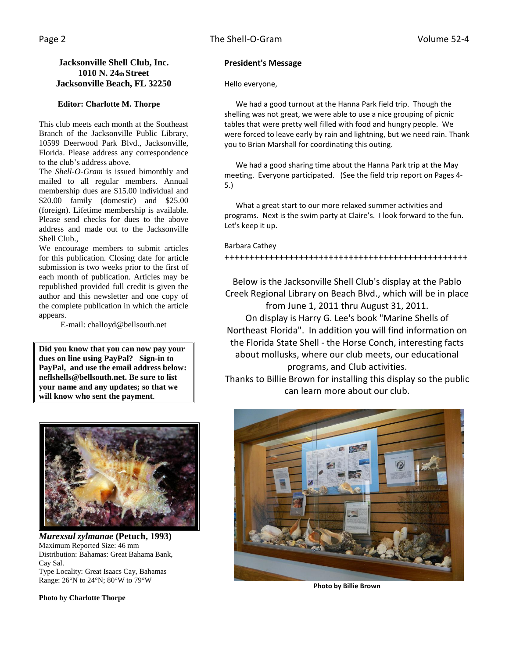## **Jacksonville Shell Club, Inc. 1010 N. 24th Street Jacksonville Beach, FL 32250**

## **Editor: Charlotte M. Thorpe**

This club meets each month at the Southeast Branch of the Jacksonville Public Library, 10599 Deerwood Park Blvd., Jacksonville, Florida. Please address any correspondence to the club's address above.

The *Shell-O-Gram* is issued bimonthly and mailed to all regular members. Annual membership dues are \$15.00 individual and \$20.00 family (domestic) and \$25.00 (foreign). Lifetime membership is available. Please send checks for dues to the above address and made out to the Jacksonville Shell Club.,

We encourage members to submit articles for this publication. Closing date for article submission is two weeks prior to the first of each month of publication. Articles may be republished provided full credit is given the author and this newsletter and one copy of the complete publication in which the article appears.

E-mail: challoyd@bellsouth.net

**Did you know that you can now pay your dues on line using PayPal? Sign-in to PayPal, and use the email address below: neflshells@bellsouth.net. Be sure to list your name and any updates; so that we will know who sent the payment**.



*Murexsul zylmanae* **(Petuch, 1993)** Maximum Reported Size: 46 mm Distribution: Bahamas: Great Bahama Bank, Cay Sal. Type Locality: Great Isaacs Cay, Bahamas Range: 26°N to 24°N; 80°W to 79°W

**Photo by Charlotte Thorpe**

## **President's Message**

Hello everyone,

 We had a good turnout at the Hanna Park field trip. Though the shelling was not great, we were able to use a nice grouping of picnic tables that were pretty well filled with food and hungry people. We were forced to leave early by rain and lightning, but we need rain. Thank you to Brian Marshall for coordinating this outing.

 We had a good sharing time about the Hanna Park trip at the May meeting. Everyone participated. (See the field trip report on Pages 4- 5.)

 What a great start to our more relaxed summer activities and programs. Next is the swim party at Claire's. I look forward to the fun. Let's keep it up.

### Barbara Cathey

### +++++++++++++++++++++++++++++++++++++++++++++++++

Below is the Jacksonville Shell Club's display at the Pablo Creek Regional Library on Beach Blvd., which will be in place from June 1, 2011 thru August 31, 2011. On display is Harry G. Lee's book "Marine Shells of Northeast Florida". In addition you will find information on the Florida State Shell - the Horse Conch, interesting facts about mollusks, where our club meets, our educational programs, and Club activities. Thanks to Billie Brown for installing this display so the public can learn more about our club.



**Photo by Billie Brown**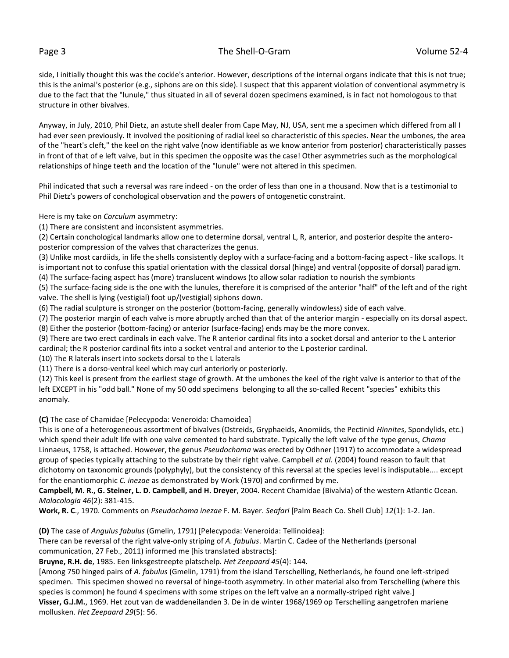### Page 3 The Shell-O-Gram 2012 Colume 52-4

side, I initially thought this was the cockle's anterior. However, descriptions of the internal organs indicate that this is not true; this is the animal's posterior (e.g., siphons are on this side). I suspect that this apparent violation of conventional asymmetry is due to the fact that the "lunule," thus situated in all of several dozen specimens examined, is in fact not homologous to that structure in other bivalves.

Anyway, in July, 2010, Phil Dietz, an astute shell dealer from Cape May, NJ, USA, sent me a specimen which differed from all I had ever seen previously. It involved the positioning of radial keel so characteristic of this species. Near the umbones, the area of the "heart's cleft," the keel on the right valve (now identifiable as we know anterior from posterior) characteristically passes in front of that of e left valve, but in this specimen the opposite was the case! Other asymmetries such as the morphological relationships of hinge teeth and the location of the "lunule" were not altered in this specimen.

Phil indicated that such a reversal was rare indeed - on the order of less than one in a thousand. Now that is a testimonial to Phil Dietz's powers of conchological observation and the powers of ontogenetic constraint.

Here is my take on *Corculum* asymmetry:

(1) There are consistent and inconsistent asymmetries.

(2) Certain conchological landmarks allow one to determine dorsal, ventral L, R, anterior, and posterior despite the anteroposterior compression of the valves that characterizes the genus.

(3) Unlike most cardiids, in life the shells consistently deploy with a surface-facing and a bottom-facing aspect - like scallops. It is important not to confuse this spatial orientation with the classical dorsal (hinge) and ventral (opposite of dorsal) paradigm.

(4) The surface-facing aspect has (more) translucent windows (to allow solar radiation to nourish the symbionts

(5) The surface-facing side is the one with the lunules, therefore it is comprised of the anterior "half" of the left and of the right valve. The shell is lying (vestigial) foot up/(vestigial) siphons down.

(6) The radial sculpture is stronger on the posterior (bottom-facing, generally windowless) side of each valve.

(7) The posterior margin of each valve is more abruptly arched than that of the anterior margin - especially on its dorsal aspect. (8) Either the posterior (bottom-facing) or anterior (surface-facing) ends may be the more convex.

(9) There are two erect cardinals in each valve. The R anterior cardinal fits into a socket dorsal and anterior to the L anterior cardinal; the R posterior cardinal fits into a socket ventral and anterior to the L posterior cardinal.

(10) The R laterals insert into sockets dorsal to the L laterals

(11) There is a dorso-ventral keel which may curl anteriorly or posteriorly.

(12) This keel is present from the earliest stage of growth. At the umbones the keel of the right valve is anterior to that of the left EXCEPT in his "odd ball." None of my 50 odd specimens belonging to all the so-called Recent "species" exhibits this anomaly.

**(C)** The case of Chamidae [Pelecypoda: Veneroida: Chamoidea]

This is one of a heterogeneous assortment of bivalves (Ostreids, Gryphaeids, Anomiids, the Pectinid *Hinnites*, Spondylids, etc.) which spend their adult life with one valve cemented to hard substrate. Typically the left valve of the type genus, *Chama* Linnaeus, 1758, is attached. However, the genus *Pseudochama* was erected by Odhner (1917) to accommodate a widespread group of species typically attaching to the substrate by their right valve. Campbell *et al.* (2004) found reason to fault that dichotomy on taxonomic grounds (polyphyly), but the consistency of this reversal at the species level is indisputable.... except for the enantiomorphic *C. inezae* as demonstrated by Work (1970) and confirmed by me.

**Campbell, M. R., G. Steiner, L. D. Campbell, and H. Dreyer**, 2004. Recent Chamidae (Bivalvia) of the western Atlantic Ocean. *Malacologia 46*(2): 381-415.

**Work, R. C**., 1970. Comments on *Pseudochama inezae* F. M. Bayer. *Seafari* [Palm Beach Co. Shell Club] *12*(1): 1-2. Jan.

**(D)** The case of *Angulus fabulus* (Gmelin, 1791) [Pelecypoda: Veneroida: Tellinoidea]:

There can be reversal of the right valve-only striping of *A. fabulus*. Martin C. Cadee of the Netherlands (personal communication, 27 Feb., 2011) informed me [his translated abstracts]:

**Bruyne, R.H. de**, 1985. Een linksgestreepte platschelp. *Het Zeepaard 45*(4): 144.

[Among 750 hinged pairs of *A. fabulus* (Gmelin, 1791) from the island Terschelling, Netherlands, he found one left-striped specimen. This specimen showed no reversal of hinge-tooth asymmetry. In other material also from Terschelling (where this species is common) he found 4 specimens with some stripes on the left valve an a normally-striped right valve.]

**Visser, G.J.M.**, 1969. Het zout van de waddeneilanden 3. De in de winter 1968/1969 op Terschelling aangetrofen mariene mollusken. *Het Zeepaard 29*(5): 56.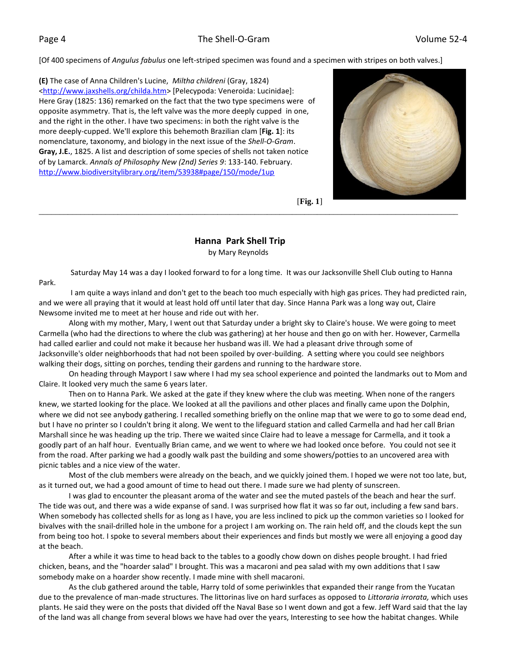[Of 400 specimens of *Angulus fabulus* one left-striped specimen was found and a specimen with stripes on both valves.]

**(E)** The case of Anna Children's Lucine, *Miltha childreni* (Gray, 1824) [<http://www.jaxshells.org/childa.htm>](http://www.jaxshells.org/childa.htm) [Pelecypoda: Veneroida: Lucinidae]: Here Gray (1825: 136) remarked on the fact that the two type specimens were of opposite asymmetry. That is, the left valve was the more deeply cupped in one, and the right in the other. I have two specimens: in both the right valve is the more deeply-cupped. We'll explore this behemoth Brazilian clam [**Fig. 1**]: its nomenclature, taxonomy, and biology in the next issue of the *Shell-O-Gram*. **Gray, J.E.**, 1825. A list and description of some species of shells not taken notice of by Lamarck. *Annals of Philosophy New (2nd) Series 9*: 133-140. February. <http://www.biodiversitylibrary.org/item/53938#page/150/mode/1up>



[**Fig. 1**]

## **Hanna Park Shell Trip** by Mary Reynolds

Saturday May 14 was a day I looked forward to for a long time. It was our Jacksonville Shell Club outing to Hanna Park.

\_\_\_\_\_\_\_\_\_\_\_\_\_\_\_\_\_\_\_\_\_\_\_\_\_\_\_\_\_\_\_\_\_\_\_\_\_\_\_\_\_\_\_\_\_\_\_\_\_\_\_\_\_\_\_\_\_\_\_\_\_\_\_\_\_\_\_\_\_\_\_\_\_\_\_\_\_\_\_\_\_\_\_\_\_\_\_\_\_\_\_\_\_\_\_\_\_\_\_\_\_

 I am quite a ways inland and don't get to the beach too much especially with high gas prices. They had predicted rain, and we were all praying that it would at least hold off until later that day. Since Hanna Park was a long way out, Claire Newsome invited me to meet at her house and ride out with her.

 Along with my mother, Mary, I went out that Saturday under a bright sky to Claire's house. We were going to meet Carmella (who had the directions to where the club was gathering) at her house and then go on with her. However, Carmella had called earlier and could not make it because her husband was ill. We had a pleasant drive through some of Jacksonville's older neighborhoods that had not been spoiled by over-building. A setting where you could see neighbors walking their dogs, sitting on porches, tending their gardens and running to the hardware store.

 On heading through Mayport I saw where I had my sea school experience and pointed the landmarks out to Mom and Claire. It looked very much the same 6 years later.

 Then on to Hanna Park. We asked at the gate if they knew where the club was meeting. When none of the rangers knew, we started looking for the place. We looked at all the pavilions and other places and finally came upon the Dolphin, where we did not see anybody gathering. I recalled something briefly on the online map that we were to go to some dead end, but I have no printer so I couldn't bring it along. We went to the lifeguard station and called Carmella and had her call Brian Marshall since he was heading up the trip. There we waited since Claire had to leave a message for Carmella, and it took a goodly part of an half hour. Eventually Brian came, and we went to where we had looked once before. You could not see it from the road. After parking we had a goodly walk past the building and some showers/potties to an uncovered area with picnic tables and a nice view of the water.

 Most of the club members were already on the beach, and we quickly joined them. I hoped we were not too late, but, as it turned out, we had a good amount of time to head out there. I made sure we had plenty of sunscreen.

 I was glad to encounter the pleasant aroma of the water and see the muted pastels of the beach and hear the surf. The tide was out, and there was a wide expanse of sand. I was surprised how flat it was so far out, including a few sand bars. When somebody has collected shells for as long as I have, you are less inclined to pick up the common varieties so I looked for bivalves with the snail-drilled hole in the umbone for a project I am working on. The rain held off, and the clouds kept the sun from being too hot. I spoke to several members about their experiences and finds but mostly we were all enjoying a good day at the beach.

 After a while it was time to head back to the tables to a goodly chow down on dishes people brought. I had fried chicken, beans, and the "hoarder salad" I brought. This was a macaroni and pea salad with my own additions that I saw somebody make on a hoarder show recently. I made mine with shell macaroni.

 As the club gathered around the table, Harry told of some periwinkles that expanded their range from the Yucatan due to the prevalence of man-made structures. The littorinas live on hard surfaces as opposed to *Littoraria irrorata,* which uses plants. He said they were on the posts that divided off the Naval Base so I went down and got a few. Jeff Ward said that the lay of the land was all change from several blows we have had over the years, Interesting to see how the habitat changes. While